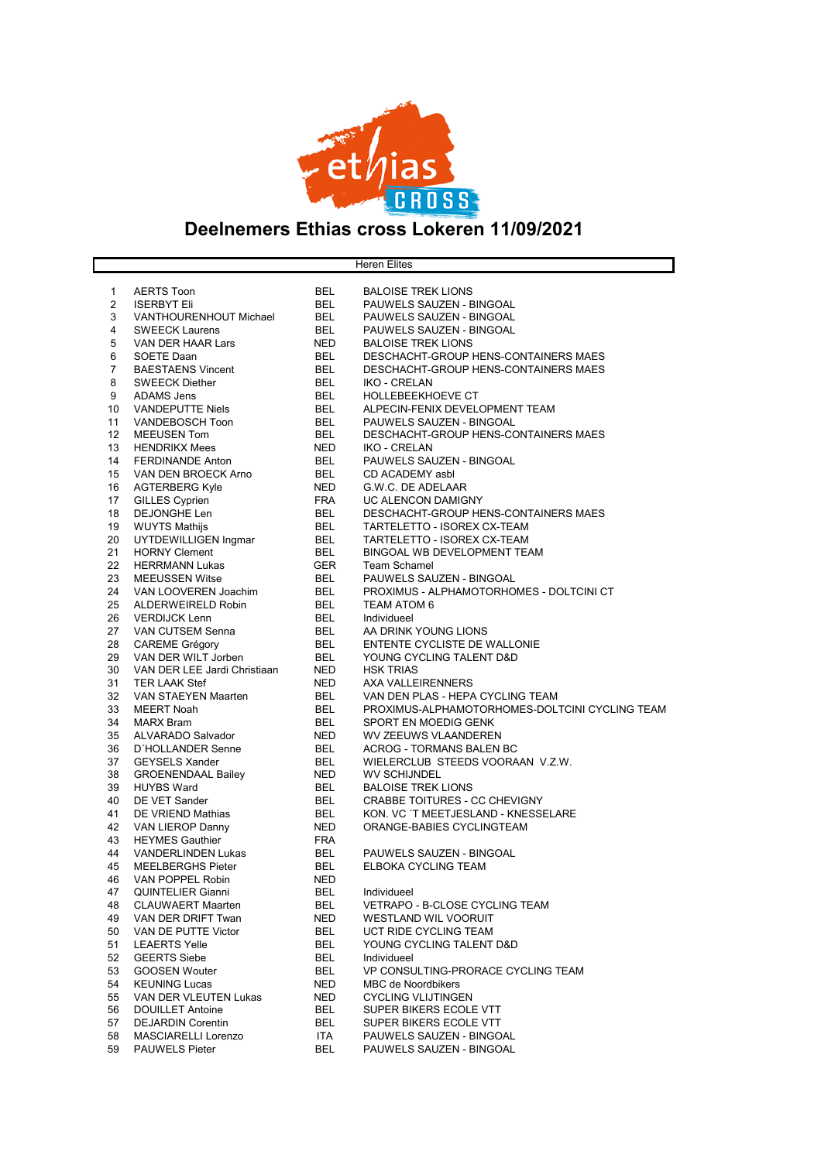

## Deelnemers Ethias cross Lokeren 11/09/2021

**Heren Elites** 

|                |                              | <b>BEL</b> |                                                |
|----------------|------------------------------|------------|------------------------------------------------|
| 1              | <b>AERTS Toon</b>            |            | <b>BALOISE TREK LIONS</b>                      |
| $\overline{2}$ | <b>ISERBYT Eli</b>           | <b>BEL</b> | PAUWELS SAUZEN - BINGOAL                       |
| 3              | VANTHOURENHOUT Michael       | <b>BEL</b> | PAUWELS SAUZEN - BINGOAL                       |
| 4              | <b>SWEECK Laurens</b>        | <b>BEL</b> | PAUWELS SAUZEN - BINGOAL                       |
| 5              | <b>VAN DER HAAR Lars</b>     | <b>NED</b> | <b>BALOISE TREK LIONS</b>                      |
| 6              | <b>SOETE Daan</b>            | <b>BEL</b> | DESCHACHT-GROUP HENS-CONTAINERS MAES           |
| $\overline{7}$ | <b>BAESTAENS Vincent</b>     | <b>BEL</b> | DESCHACHT-GROUP HENS-CONTAINERS MAES           |
| 8              | <b>SWEECK Diether</b>        | <b>BEL</b> | <b>IKO - CRELAN</b>                            |
| 9              | <b>ADAMS Jens</b>            | <b>BEL</b> | HOLLEBEEKHOEVE CT                              |
| 10             | <b>VANDEPUTTE Niels</b>      | <b>BEL</b> | ALPECIN-FENIX DEVELOPMENT TEAM                 |
|                |                              |            |                                                |
| 11             | VANDEBOSCH Toon              | <b>BEL</b> | PAUWELS SAUZEN - BINGOAL                       |
| 12             | <b>MEEUSEN Tom</b>           | <b>BEL</b> | DESCHACHT-GROUP HENS-CONTAINERS MAES           |
| 13             | <b>HENDRIKX Mees</b>         | <b>NED</b> | <b>IKO - CRELAN</b>                            |
| 14             | <b>FERDINANDE Anton</b>      | <b>BEL</b> | PAUWELS SAUZEN - BINGOAL                       |
| 15             | VAN DEN BROECK Arno          | <b>BEL</b> | CD ACADEMY asbl                                |
| 16             | <b>AGTERBERG Kyle</b>        | NED        | G.W.C. DE ADELAAR                              |
| 17             | <b>GILLES Cyprien</b>        | <b>FRA</b> | UC ALENCON DAMIGNY                             |
| 18             | <b>DEJONGHE Len</b>          | <b>BEL</b> | DESCHACHT-GROUP HENS-CONTAINERS MAES           |
| 19             | <b>WUYTS Mathijs</b>         | <b>BEL</b> | TARTELETTO - ISOREX CX-TEAM                    |
| 20             |                              | <b>BEL</b> | TARTELETTO - ISOREX CX-TEAM                    |
|                | UYTDEWILLIGEN Ingmar         |            |                                                |
| 21             | <b>HORNY Clement</b>         | <b>BEL</b> | <b>BINGOAL WB DEVELOPMENT TEAM</b>             |
| 22             | <b>HERRMANN Lukas</b>        | <b>GER</b> | <b>Team Schamel</b>                            |
| 23             | <b>MEEUSSEN Witse</b>        | <b>BEL</b> | PAUWELS SAUZEN - BINGOAL                       |
| 24             | VAN LOOVEREN Joachim         | <b>BEL</b> | PROXIMUS - ALPHAMOTORHOMES - DOLTCINI CT       |
| 25             | ALDERWEIRELD Robin           | <b>BEL</b> | <b>TEAM ATOM 6</b>                             |
| 26             | <b>VERDIJCK Lenn</b>         | <b>BEL</b> | Individueel                                    |
| 27             | VAN CUTSEM Senna             | <b>BEL</b> | AA DRINK YOUNG LIONS                           |
| 28             | <b>CAREME Grégory</b>        | <b>BEL</b> | ENTENTE CYCLISTE DE WALLONIE                   |
| 29             | VAN DER WILT Jorben          | <b>BEL</b> | YOUNG CYCLING TALENT D&D                       |
| 30             | VAN DER LEE Jardi Christiaan | <b>NED</b> | <b>HSK TRIAS</b>                               |
|                |                              |            | AXA VALLEIRENNERS                              |
| 31             | <b>TER LAAK Stef</b>         | <b>NED</b> |                                                |
| 32             | VAN STAEYEN Maarten          | <b>BEL</b> | VAN DEN PLAS - HEPA CYCLING TEAM               |
| 33             | <b>MEERT Noah</b>            | <b>BEL</b> | PROXIMUS-ALPHAMOTORHOMES-DOLTCINI CYCLING TEAM |
| 34             | <b>MARX Bram</b>             | <b>BEL</b> | SPORT EN MOEDIG GENK                           |
| 35             | <b>ALVARADO Salvador</b>     | <b>NED</b> | <b>WV ZEEUWS VLAANDEREN</b>                    |
| 36             | <b>D'HOLLANDER Senne</b>     | <b>BEL</b> | <b>ACROG - TORMANS BALEN BC</b>                |
| 37             | <b>GEYSELS Xander</b>        | <b>BEL</b> | WIELERCLUB STEEDS VOORAAN V.Z.W.               |
| 38             | <b>GROENENDAAL Bailey</b>    | NED        | <b>WV SCHIJNDEL</b>                            |
| 39             | <b>HUYBS Ward</b>            | <b>BEL</b> | <b>BALOISE TREK LIONS</b>                      |
| 40             | DE VET Sander                | <b>BEL</b> | CRABBE TOITURES - CC CHEVIGNY                  |
| 41             | DE VRIEND Mathias            | <b>BEL</b> | KON. VC 'T MEETJESLAND - KNESSELARE            |
| 42             | VAN LIEROP Danny             | <b>NED</b> | ORANGE-BABIES CYCLINGTEAM                      |
|                |                              |            |                                                |
| 43             | <b>HEYMES Gauthier</b>       | <b>FRA</b> |                                                |
| 44             | <b>VANDERLINDEN Lukas</b>    | <b>BEL</b> | PAUWELS SAUZEN - BINGOAL                       |
| 45             | <b>MEELBERGHS Pieter</b>     | <b>BEL</b> | ELBOKA CYCLING TEAM                            |
| 46             | VAN POPPEL Robin             | <b>NED</b> |                                                |
| 47             | <b>QUINTELIER Gianni</b>     | <b>BEL</b> | Individueel                                    |
| 48             | <b>CLAUWAERT Maarten</b>     | <b>BEL</b> | VETRAPO - B-CLOSE CYCLING TEAM                 |
| 49             | VAN DER DRIFT Twan           | NED.       | <b>WESTLAND WIL VOORUIT</b>                    |
| 50             | VAN DE PUTTE Victor          | <b>BEL</b> | UCT RIDE CYCLING TEAM                          |
| 51             | <b>LEAERTS Yelle</b>         | <b>BEL</b> | YOUNG CYCLING TALENT D&D                       |
| 52             | <b>GEERTS Siebe</b>          | <b>BEL</b> | Individueel                                    |
| 53             | <b>GOOSEN Wouter</b>         | <b>BEL</b> | VP CONSULTING-PRORACE CYCLING TEAM             |
|                |                              |            |                                                |
| 54             | <b>KEUNING Lucas</b>         | <b>NED</b> | <b>MBC de Noordbikers</b>                      |
| 55             | VAN DER VLEUTEN Lukas        | <b>NED</b> | <b>CYCLING VLIJTINGEN</b>                      |
| 56             | <b>DOUILLET Antoine</b>      | <b>BEL</b> | SUPER BIKERS ECOLE VTT                         |
| 57             | <b>DEJARDIN Corentin</b>     | <b>BEL</b> | SUPER BIKERS ECOLE VTT                         |
| 58             | <b>MASCIARELLI Lorenzo</b>   | ITA        | PAUWELS SAUZEN - BINGOAL                       |
| 59             | <b>PAUWELS Pieter</b>        | <b>BEL</b> | PAUWELS SAUZEN - BINGOAL                       |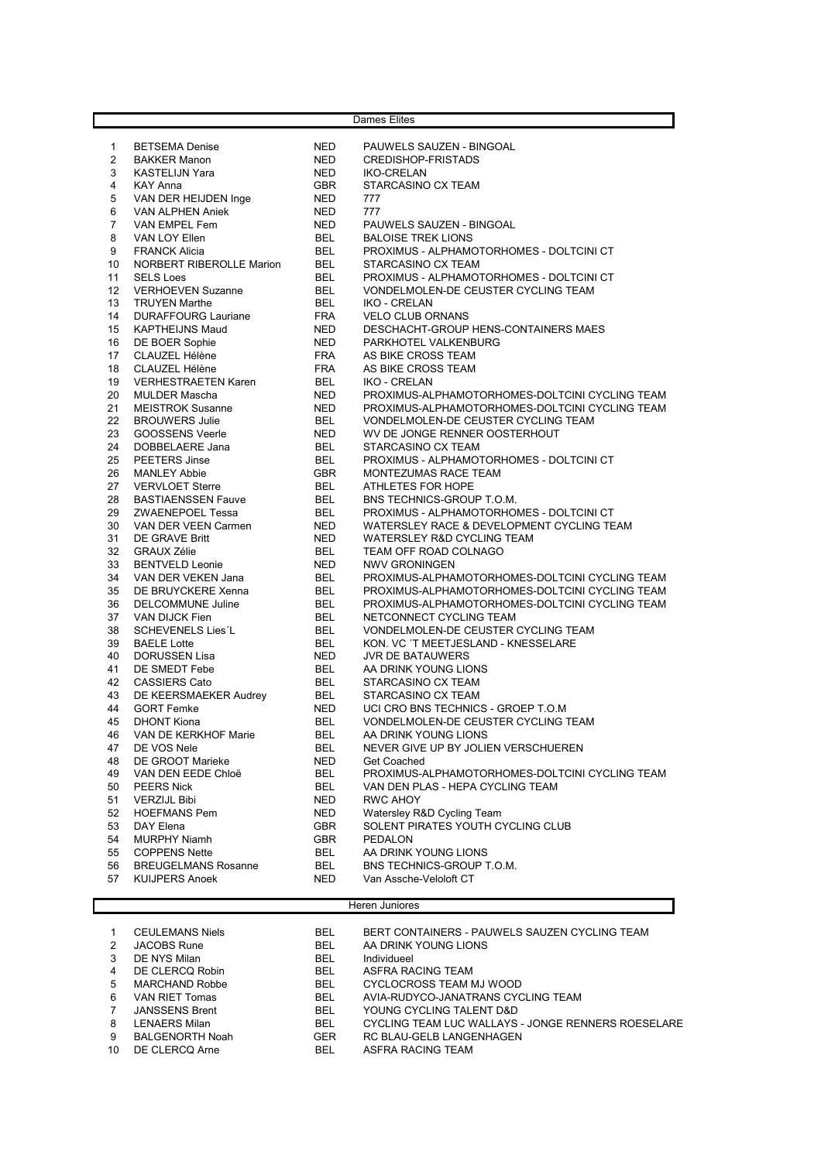| Dames Elites |                                 |            |                                                |
|--------------|---------------------------------|------------|------------------------------------------------|
|              |                                 |            |                                                |
| 1            | <b>BETSEMA Denise</b>           | <b>NED</b> | PAUWELS SAUZEN - BINGOAL                       |
| 2            | <b>BAKKER Manon</b>             | <b>NED</b> | <b>CREDISHOP-FRISTADS</b>                      |
| 3            | <b>KASTELIJN Yara</b>           | <b>NED</b> | <b>IKO-CRELAN</b>                              |
| 4            | <b>KAY Anna</b>                 | <b>GBR</b> | STARCASINO CX TEAM                             |
| 5            | VAN DER HEIJDEN Inge            | <b>NED</b> | 777                                            |
| 6            | VAN ALPHEN Aniek                | <b>NED</b> | 777                                            |
| 7            | VAN EMPEL Fem                   | <b>NED</b> | PAUWELS SAUZEN - BINGOAL                       |
| 8            | VAN LOY Ellen                   | <b>BEL</b> | <b>BALOISE TREK LIONS</b>                      |
| 9            | <b>FRANCK Alicia</b>            | <b>BEL</b> | PROXIMUS - ALPHAMOTORHOMES - DOLTCINI CT       |
| 10           | <b>NORBERT RIBEROLLE Marion</b> | <b>BEL</b> | STARCASINO CX TEAM                             |
| 11           | <b>SELS Loes</b>                | <b>BEL</b> | PROXIMUS - ALPHAMOTORHOMES - DOLTCINI CT       |
| 12           | <b>VERHOEVEN Suzanne</b>        | <b>BEL</b> | VONDELMOLEN-DE CEUSTER CYCLING TEAM            |
| 13           | <b>TRUYEN Marthe</b>            | <b>BEL</b> | <b>IKO - CRELAN</b>                            |
| 14           | <b>DURAFFOURG Lauriane</b>      | <b>FRA</b> | <b>VELO CLUB ORNANS</b>                        |
| 15           | <b>KAPTHEIJNS Maud</b>          | <b>NED</b> | DESCHACHT-GROUP HENS-CONTAINERS MAES           |
| 16           | DE BOER Sophie                  | <b>NED</b> | PARKHOTEL VALKENBURG                           |
| 17           | CLAUZEL Hélène                  | <b>FRA</b> | AS BIKE CROSS TEAM                             |
| 18           | <b>CLAUZEL Hélène</b>           | <b>FRA</b> | AS BIKE CROSS TEAM                             |
| 19           | <b>VERHESTRAETEN Karen</b>      | <b>BEL</b> | <b>IKO - CRELAN</b>                            |
| 20           | <b>MULDER Mascha</b>            | NED.       | PROXIMUS-ALPHAMOTORHOMES-DOLTCINI CYCLING TEAM |
| 21           | <b>MEISTROK Susanne</b>         | NED        | PROXIMUS-ALPHAMOTORHOMES-DOLTCINI CYCLING TEAM |
| 22           | <b>BROUWERS Julie</b>           | <b>BEL</b> | VONDELMOLEN-DE CEUSTER CYCLING TEAM            |
| 23           | <b>GOOSSENS Veerle</b>          | <b>NED</b> | WV DE JONGE RENNER OOSTERHOUT                  |
| 24           | DOBBELAERE Jana                 | <b>BEL</b> | STARCASINO CX TEAM                             |
| 25           | <b>PEETERS Jinse</b>            | <b>BEL</b> | PROXIMUS - ALPHAMOTORHOMES - DOLTCINI CT       |
| 26           | <b>MANLEY Abbie</b>             | <b>GBR</b> | MONTEZUMAS RACE TEAM                           |
| 27           | <b>VERVLOET Sterre</b>          | <b>BEL</b> | <b>ATHLETES FOR HOPE</b>                       |
| 28           | <b>BASTIAENSSEN Fauve</b>       | <b>BEL</b> | BNS TECHNICS-GROUP T.O.M.                      |
| 29           | <b>ZWAENEPOEL Tessa</b>         | <b>BEL</b> | PROXIMUS - ALPHAMOTORHOMES - DOLTCINI CT       |
| 30           | VAN DER VEEN Carmen             | NED        | WATERSLEY RACE & DEVELOPMENT CYCLING TEAM      |
| 31           | DE GRAVE Britt                  | <b>NED</b> | <b>WATERSLEY R&amp;D CYCLING TEAM</b>          |
| 32           | <b>GRAUX Zélie</b>              | <b>BEL</b> | TEAM OFF ROAD COLNAGO                          |
| 33           | <b>BENTVELD Leonie</b>          | <b>NED</b> | <b>NWV GRONINGEN</b>                           |
| 34           | VAN DER VEKEN Jana              | <b>BEL</b> | PROXIMUS-ALPHAMOTORHOMES-DOLTCINI CYCLING TEAM |
| 35           | DE BRUYCKERE Xenna              | <b>BEL</b> | PROXIMUS-ALPHAMOTORHOMES-DOLTCINI CYCLING TEAM |
| 36           | <b>DELCOMMUNE Juline</b>        | <b>BEL</b> | PROXIMUS-ALPHAMOTORHOMES-DOLTCINI CYCLING TEAM |
| 37           | VAN DIJCK Fien                  | <b>BEL</b> | NETCONNECT CYCLING TEAM                        |
| 38           | <b>SCHEVENELS Lies'L</b>        | BEL        | VONDELMOLEN-DE CEUSTER CYCLING TEAM            |
| 39           | <b>BAELE Lotte</b>              | BEL        | KON. VC 'T MEETJESLAND - KNESSELARE            |
| 40           | <b>DORUSSEN Lisa</b>            | NED        | <b>JVR DE BATAUWERS</b>                        |
| 41           | DE SMEDT Febe                   | <b>BEL</b> | AA DRINK YOUNG LIONS                           |
| 42           | <b>CASSIERS Cato</b>            | <b>BEL</b> | STARCASINO CX TEAM                             |
| 43           | DE KEERSMAEKER Audrey           | <b>BEL</b> | STARCASINO CX TEAM                             |
| 44           | <b>GORT Femke</b>               | <b>NED</b> | UCI CRO BNS TECHNICS - GROEP T.O.M             |
| 45           | <b>DHONT Kiona</b>              | <b>BEL</b> | VONDELMOLEN-DE CEUSTER CYCLING TEAM            |
| 46           | VAN DE KERKHOF Marie            | <b>BEL</b> | AA DRINK YOUNG LIONS                           |
| 47           | DE VOS Nele                     | <b>BEL</b> | NEVER GIVE UP BY JOLIEN VERSCHUEREN            |
| 48           | DE GROOT Marieke                | <b>NED</b> | <b>Get Coached</b>                             |
| 49           | VAN DEN EEDE Chloë              | <b>BEL</b> | PROXIMUS-ALPHAMOTORHOMES-DOLTCINI CYCLING TEAM |
| 50           | <b>PEERS Nick</b>               | BEL        | VAN DEN PLAS - HEPA CYCLING TEAM               |
| 51           | <b>VERZIJL Bibi</b>             | NED        | <b>RWC AHOY</b>                                |
| 52           | <b>HOEFMANS Pem</b>             | NED        | Watersley R&D Cycling Team                     |
| 53           | DAY Elena                       | <b>GBR</b> | SOLENT PIRATES YOUTH CYCLING CLUB              |
| 54           | <b>MURPHY Niamh</b>             | <b>GBR</b> | PEDALON                                        |
| 55           | <b>COPPENS Nette</b>            | <b>BEL</b> | AA DRINK YOUNG LIONS                           |
| 56           | <b>BREUGELMANS Rosanne</b>      | <b>BEL</b> | BNS TECHNICS-GROUP T.O.M.                      |
| 57           | <b>KUIJPERS Anoek</b>           | <b>NED</b> | Van Assche-Veloloft CT                         |
|              |                                 |            |                                                |

## Heren Juniores

| 2<br>3<br>4<br>5<br>6<br>7<br>8<br>9 | <b>CEULEMANS Niels</b><br><b>JACOBS Rune</b><br>DE NYS Milan<br>DE CLERCQ Robin<br><b>MARCHAND Robbe</b><br>VAN RIET Tomas<br><b>JANSSENS Brent</b><br><b>LENAERS Milan</b><br><b>BALGENORTH Noah</b> | <b>BEL</b><br><b>BEL</b><br><b>BEL</b><br><b>BEL</b><br><b>BEL</b><br><b>BEL</b><br><b>BEL</b><br><b>BEL</b><br><b>GER</b> | BERT CONTAINERS - PAUWELS SAUZEN CYCLING TEAM<br>AA DRINK YOUNG LIONS<br>Individueel<br>ASFRA RACING TEAM<br>CYCLOCROSS TEAM MJ WOOD<br>AVIA-RUDYCO-JANATRANS CYCLING TEAM<br>YOUNG CYCLING TALENT D&D<br>CYCLING TEAM LUC WALLAYS - JONGE RENNERS ROESELARE<br>RC BLAU-GELB LANGENHAGEN |
|--------------------------------------|-------------------------------------------------------------------------------------------------------------------------------------------------------------------------------------------------------|----------------------------------------------------------------------------------------------------------------------------|------------------------------------------------------------------------------------------------------------------------------------------------------------------------------------------------------------------------------------------------------------------------------------------|
| 10                                   | DE CLERCQ Arne                                                                                                                                                                                        | <b>BEL</b>                                                                                                                 | ASFRA RACING TEAM                                                                                                                                                                                                                                                                        |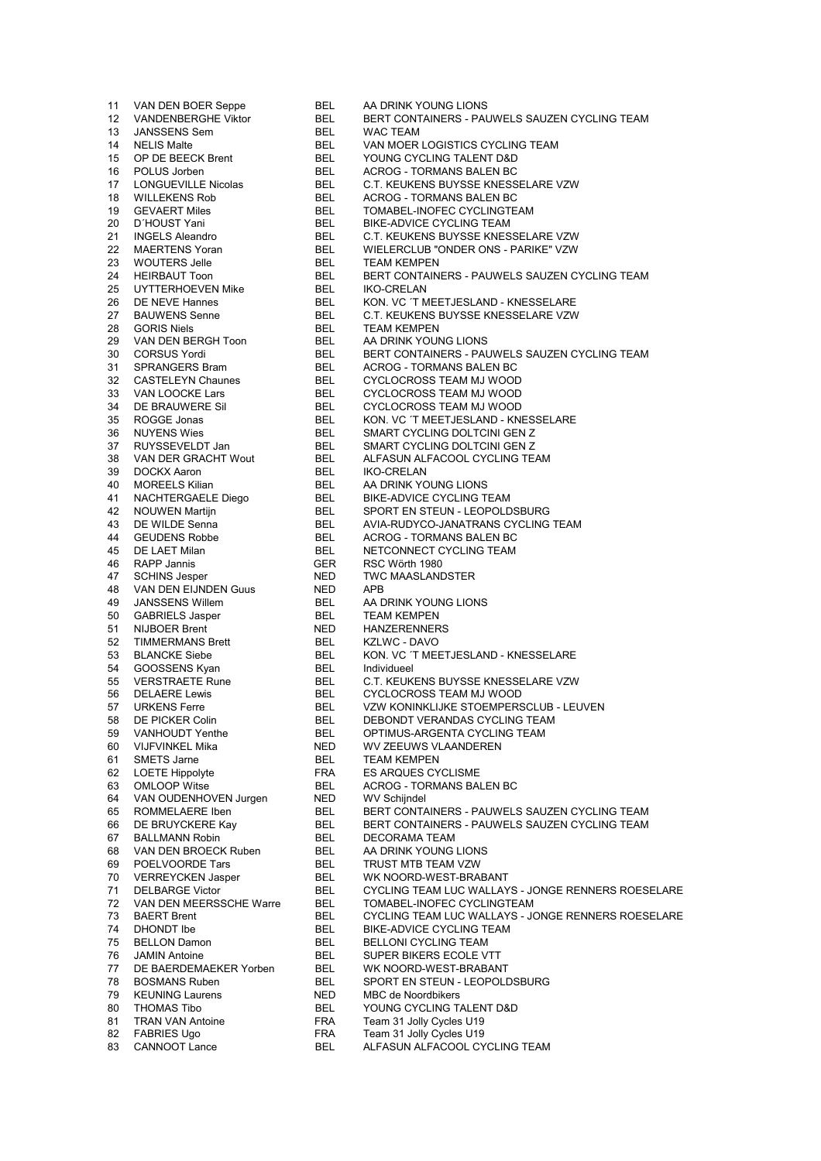**BEL** AA DRINK YOUNG LIONS VAN DEN BOER Seppe **VANDENBERGHE Viktor BEL** BERT CONTAINERS - PAUWELS SAUZEN CYCLING TEAM **BEL WAC TEAM JANSSENS Sem NELIS Malte BEL** VAN MOER LOGISTICS CYCLING TEAM OP DE BEECK Brent **BEL** YOUNG CYCLING TALENT D&D **BEL** ACROG - TORMANS BALEN BC POLUS Jorben **LONGUEVILLE Nicolas** BEL C.T. KEUKENS BUYSSE KNESSELARE VZW **WILLEKENS Rob BEL** ACROG - TORMANS BALEN BC TOMABEL-INOFEC CYCLINGTEAM **GEVAERT Miles BEL BEL** D'HOUST Yani **BIKE-ADVICE CYCLING TEAM BEL** C.T. KEUKENS BUYSSE KNESSELARE VZW **INGELS Aleandro BEL MAERTENS Yoran** WIELERCLUB "ONDER ONS - PARIKE" VZW **WOUTERS Jelle BEL TEAM KEMPEN HEIRBAUT Toon BEL** BERT CONTAINERS - PAUWELS SAUZEN CYCLING TEAM **BEL IKO-CRELAN** UYTTERHOEVEN Mike DE NEVE Hannes **BEL** KON. VC 'T MEETJESLAND - KNESSELARE **BAUWENS Senne BEL** C.T. KEUKENS BUYSSE KNESSELARE VZW **GORIS Niels BEL TEAM KEMPEN BEL** VAN DEN BERGH Toon AA DRINK YOUNG LIONS **BEL** BERT CONTAINERS - PAUWELS SAUZEN CYCLING TEAM **CORSUS Yordi** BEL **SPRANGERS Bram** ACROG - TORMANS BALEN BC **CASTELEYN Chaunes** BEL CYCLOCROSS TEAM MJ WOOD VAN LOOCKE Lars **BEL** CYCLOCROSS TEAM MJ WOOD DE BRAUWERE Sil **BEL CYCLOCROSS TEAM MJ WOOD** KON. VC 'T MEETJESLAND - KNESSELARE ROGGE Jonas **BEL** SMART CYCLING DOLTCINI GEN Z **NUYENS Wies** BEL SMART CYCLING DOLTCINI GEN Z RUYSSEVELDT Jan BEL **BEL** VAN DER GRACHT Wout ALFASUN ALFACOOL CYCLING TEAM **DOCKX Aaron BEL IKO-CRELAN MOREELS Kilian BEL** AA DRINK YOUNG LIONS **BEL BIKE-ADVICE CYCLING TEAM NACHTERGAELE Diego NOUWEN Martijn BEL** SPORT EN STEUN - LEOPOLDSBURG DE WILDE Senna **BEL** AVIA-RUDYCO-JANATRANS CYCLING TEAM **GEUDENS Robbe BEL** ACROG - TORMANS BALEN BC DE LAET Milan BEL NETCONNECT CYCLING TEAM RSC Wörth 1980 RAPP Jannis **GER SCHINS Jesper NED TWC MAASLANDSTER** VAN DEN EIJNDEN Guus **NED APR JANSSENS Willem BEL** AA DRINK YOUNG LIONS **GABRIELS Jasper** BEL **TEAM KEMPEN NIJBOER Brent NED HANZERENNERS TIMMERMANS Brett** BEL **KZLWC - DAVO BLANCKE Siebe BEL** KON. VC 'T MEETJESLAND - KNESSELARE **BEL** Individueel GOOSSENS Kyan **VERSTRAETE Rune** BEL C.T. KEUKENS BUYSSE KNESSELARE VZW **DELAERE Lewis BEL** CYCLOCROSS TEAM MJ WOOD VZW KONINKLIJKE STOEMPERSCLUB - LEUVEN **BEL URKENS Ferre** DEBONDT VERANDAS CYCLING TEAM DE PICKER Colin **BEL BEL VANHOUDT Yenthe** OPTIMUS-ARGENTA CYCLING TEAM VIJFVINKEL Mika **NED** WV ZEEUWS VLAANDEREN **SMETS Jarne BEL TEAM KEMPEN LOETE Hippolyte FRA ES ARQUES CYCLISME BEL** ACROG - TORMANS BALEN BC **OMLOOP Witse** VAN OUDENHOVEN Jurgen **NED WV Schijndel** ROMMELAERE Iben BERT CONTAINERS - PAUWELS SAUZEN CYCLING TEAM **BEL** DE BRUYCKERE Kay BERT CONTAINERS - PAUWELS SAUZEN CYCLING TEAM **BEL DECORAMA TEAM BALLMANN Robin BEL BEL** AA DRINK YOUNG LIONS VAN DEN BROECK Ruben POELVOORDE Tars **BEL** TRUST MTB TEAM VZW **VERREYCKEN Jasper BEL** WK NOORD-WEST-BRABANT **DELBARGE Victor BEL** CYCLING TEAM LUC WALLAYS - JONGE RENNERS ROESELARE VAN DEN MEERSSCHE Warre **BEL** TOMABEL-INOFEC CYCLINGTEAM **BEL** CYCLING TEAM LUC WALLAYS - JONGE RENNERS ROESELARE **BAERT Brent DHONDT** Ibe **BEL** BIKE-ADVICE CYCLING TEAM 75 BELLON Damon **BEL BELLONI CYCLING TEAM BEL** SUPER BIKERS ECOLE VTT **JAMIN Antoine** DE BAERDEMAEKER Yorben **BEL** WK NOORD-WEST-BRABANT 78 BOSMANS Ruben **BEL** SPORT EN STEUN - LEOPOLDSBURG **NED** 79 KEUNING Laurens MBC de Noordbikers **THOMAS Tibo BEL** YOUNG CYCLING TALENT D&D **TRAN VAN Antoine FRA** Team 31 Jolly Cycles U19 **FABRIES Ugo FRA** Team 31 Jolly Cycles U19 ALFASUN ALFACOOL CYCLING TEAM **CANNOOT Lance BEL** 

 $11$ 

 $12$ 

13

14

15

16

17

18

19

20

 $21$ 

22

23

24

25

26

27

28

29

30

31

32

33

34

35

36

37

38

39

40

41

42

43

44

45

46

47

48

49

50

51

52

53 54

55

56

57

58

59

60

61 62

63

64

65

66

67

68

69

70

71

72

73

74

76

77

80

81

82

83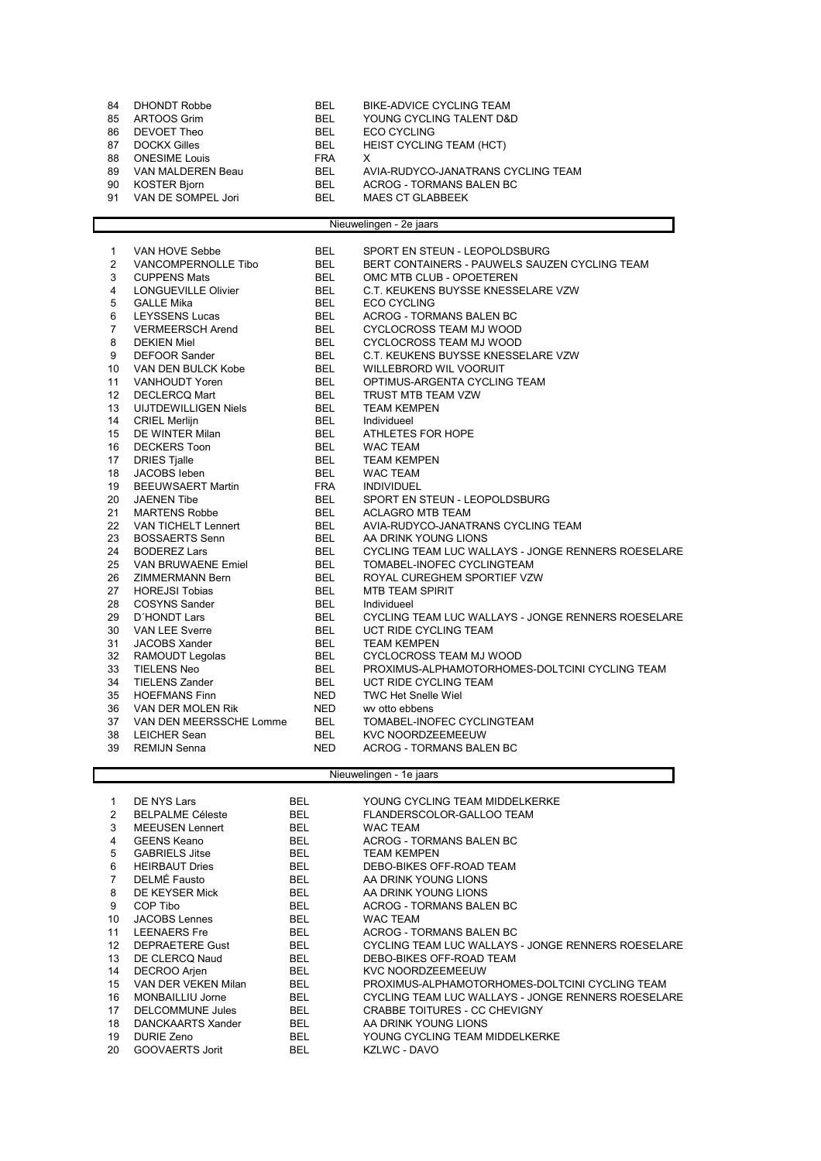| 84 | DHONDT Robbe         | <b>BEL</b> | BIKE-ADVICE CYCLING TEAM           |
|----|----------------------|------------|------------------------------------|
| 85 | ARTOOS Grim          | <b>BEL</b> | YOUNG CYCLING TALENT D&D           |
| 86 | DEVOET Theo          | <b>BEL</b> | ECO CYCLING                        |
| 87 | DOCKX Gilles         | BEL.       | HEIST CYCLING TEAM (HCT)           |
| 88 | <b>ONESIME Louis</b> | <b>FRA</b> |                                    |
| 89 | VAN MALDEREN Beau    | <b>BEL</b> | AVIA-RUDYCO-JANATRANS CYCLING TEAM |
| 90 | KOSTER Bjorn         | <b>BEL</b> | ACROG - TORMANS BALEN BC           |
| 91 | VAN DE SOMPEL Jori   | <b>BEL</b> | MAES CT GLABBEEK                   |
|    |                      |            |                                    |

## Nieuwelingen - 2e jaars

| $\mathbf{1}$   | VAN HOVE Sebbe              | <b>BEL</b> | SPORT EN STEUN - LEOPOLDSBURG                      |
|----------------|-----------------------------|------------|----------------------------------------------------|
| 2              | VANCOMPERNOLLE Tibo         | <b>BEL</b> | BERT CONTAINERS - PAUWELS SAUZEN CYCLING TEAM      |
| 3              | <b>CUPPENS Mats</b>         | <b>BEL</b> | OMC MTB CLUB - OPOETEREN                           |
| 4              | <b>LONGUEVILLE Olivier</b>  | <b>BEL</b> | C.T. KEUKENS BUYSSE KNESSELARE VZW                 |
| 5              | <b>GALLE Mika</b>           | BEL        | <b>ECO CYCLING</b>                                 |
| 6              | <b>LEYSSENS Lucas</b>       | <b>BEL</b> | <b>ACROG - TORMANS BALEN BC</b>                    |
| $\overline{7}$ | <b>VERMEERSCH Arend</b>     | <b>BEL</b> | <b>CYCLOCROSS TEAM MJ WOOD</b>                     |
| 8              | <b>DEKIEN Miel</b>          | <b>BEL</b> | CYCLOCROSS TEAM MJ WOOD                            |
| 9              | <b>DEFOOR Sander</b>        | <b>BEL</b> | C.T. KEUKENS BUYSSE KNESSELARE VZW                 |
| 10             | VAN DEN BULCK Kobe          | <b>BEL</b> | WILLEBRORD WIL VOORUIT                             |
| 11             | <b>VANHOUDT Yoren</b>       | <b>BEL</b> | OPTIMUS-ARGENTA CYCLING TEAM                       |
| 12             | <b>DECLERCQ Mart</b>        | <b>BEL</b> | TRUST MTB TEAM VZW                                 |
| 13             | <b>UIJTDEWILLIGEN Niels</b> | <b>BEL</b> | <b>TEAM KEMPEN</b>                                 |
| 14             | <b>CRIEL Merlijn</b>        | <b>BEL</b> | Individueel                                        |
| 15             | DE WINTER Milan             | <b>BEL</b> | ATHLETES FOR HOPE                                  |
| 16             | <b>DECKERS Toon</b>         | <b>BEL</b> | <b>WAC TEAM</b>                                    |
| 17             | <b>DRIES Tjalle</b>         | <b>BEL</b> | <b>TEAM KEMPEN</b>                                 |
| 18             | JACOBS leben                | <b>BEL</b> | <b>WAC TEAM</b>                                    |
| 19             | <b>BEEUWSAERT Martin</b>    | <b>FRA</b> | <b>INDIVIDUEL</b>                                  |
| 20             | <b>JAENEN Tibe</b>          | <b>BEL</b> | SPORT EN STEUN - LEOPOLDSBURG                      |
| 21             | <b>MARTENS Robbe</b>        | <b>BEL</b> | <b>ACLAGRO MTB TEAM</b>                            |
| 22             | <b>VAN TICHELT Lennert</b>  | <b>BEL</b> | AVIA-RUDYCO-JANATRANS CYCLING TEAM                 |
| 23             | <b>BOSSAERTS Senn</b>       | <b>BEL</b> | AA DRINK YOUNG LIONS                               |
| 24             | <b>BODEREZ Lars</b>         | <b>BEL</b> | CYCLING TEAM LUC WALLAYS - JONGE RENNERS ROESELARE |
| 25             | <b>VAN BRUWAENE Emiel</b>   | <b>BEL</b> | TOMABEL-INOFEC CYCLINGTEAM                         |
| 26             | ZIMMERMANN Bern             | <b>BEL</b> | ROYAL CUREGHEM SPORTIEF VZW                        |
| 27             | <b>HOREJSI Tobias</b>       | <b>BEL</b> | <b>MTB TEAM SPIRIT</b>                             |
| 28             | <b>COSYNS Sander</b>        | <b>BEL</b> | Individueel                                        |
| 29             | <b>D'HONDT Lars</b>         | <b>BEL</b> | CYCLING TEAM LUC WALLAYS - JONGE RENNERS ROESELARE |
| 30             | <b>VAN LEE Sverre</b>       | <b>BEL</b> | UCT RIDE CYCLING TEAM                              |
| 31             | JACOBS Xander               | <b>BEL</b> | <b>TEAM KEMPEN</b>                                 |
| 32             | RAMOUDT Legolas             | <b>BEL</b> | CYCLOCROSS TEAM MJ WOOD                            |
| 33             | <b>TIELENS Neo</b>          | <b>BEL</b> | PROXIMUS-ALPHAMOTORHOMES-DOLTCINI CYCLING TEAM     |
| 34             | <b>TIELENS Zander</b>       | BEL        | UCT RIDE CYCLING TEAM                              |
| 35             | <b>HOEFMANS Finn</b>        | <b>NED</b> | <b>TWC Het Snelle Wiel</b>                         |
| 36             | VAN DER MOLEN Rik           | <b>NED</b> | wy otto ebbens                                     |
| 37             | VAN DEN MEERSSCHE Lomme     | <b>BEL</b> | TOMABEL-INOFEC CYCLINGTEAM                         |
| 38             | <b>LEICHER Sean</b>         | <b>BEL</b> | KVC NOORDZEEMEEUW                                  |
| 39             | <b>REMIJN Senna</b>         | <b>NED</b> | <b>ACROG - TORMANS BALEN BC</b>                    |

## Nieuwelingen - 1e jaars

| 1.<br>2        | DE NYS Lars<br><b>BELPALME Céleste</b> | <b>BEL</b><br><b>BEL</b> | YOUNG CYCLING TEAM MIDDELKERKE<br>FLANDERSCOLOR-GALLOO TEAM |
|----------------|----------------------------------------|--------------------------|-------------------------------------------------------------|
| 3              | <b>MEEUSEN Lennert</b>                 | <b>BEL</b>               | <b>WAC TEAM</b>                                             |
| 4              | <b>GEENS Keano</b>                     | <b>BEL</b>               | ACROG - TORMANS BALEN BC                                    |
| 5              | <b>GABRIELS Jitse</b>                  | <b>BEL</b>               | <b>TEAM KEMPEN</b>                                          |
| 6              | <b>HEIRBAUT Dries</b>                  | <b>BEL</b>               | DEBO-BIKES OFF-ROAD TEAM                                    |
| $\overline{7}$ | <b>DELMÉ Fausto</b>                    | <b>BEL</b>               | AA DRINK YOUNG LIONS                                        |
| 8              | DE KEYSER Mick                         | <b>BEL</b>               | AA DRINK YOUNG LIONS                                        |
| 9              | COP Tibo                               | <b>BEL</b>               | ACROG - TORMANS BALEN BC                                    |
| 10             | <b>JACOBS Lennes</b>                   | <b>BEL</b>               | <b>WAC TEAM</b>                                             |
| 11             | <b>LEENAERS</b> Fre                    | <b>BEL</b>               | ACROG - TORMANS BALEN BC                                    |
| 12             | <b>DEPRAETERE Gust</b>                 | <b>BEL</b>               | CYCLING TEAM LUC WALLAYS - JONGE RENNERS ROESELARE          |
| 13             | DE CLERCQ Naud                         | <b>BEL</b>               | DEBO-BIKES OFF-ROAD TEAM                                    |
| 14             | DECROO Arjen                           | <b>BEL</b>               | <b>KVC NOORDZEEMEEUW</b>                                    |
| 15             | VAN DER VEKEN Milan                    | <b>BEL</b>               | PROXIMUS-ALPHAMOTORHOMES-DOLTCINI CYCLING TEAM              |
| 16             | MONBAILLIU Jorne                       | <b>BEL</b>               | CYCLING TEAM LUC WALLAYS - JONGE RENNERS ROESELARE          |
| 17             | DELCOMMUNE Jules                       | <b>BEL</b>               | <b>CRABBE TOITURES - CC CHEVIGNY</b>                        |
| 18             | DANCKAARTS Xander                      | <b>BEL</b>               | AA DRINK YOUNG LIONS                                        |
| 19             | <b>DURIE Zeno</b>                      | <b>BEL</b>               | YOUNG CYCLING TEAM MIDDELKERKE                              |
| 20             | GOOVAERTS Jorit                        | <b>BEL</b>               | KZLWC - DAVO                                                |